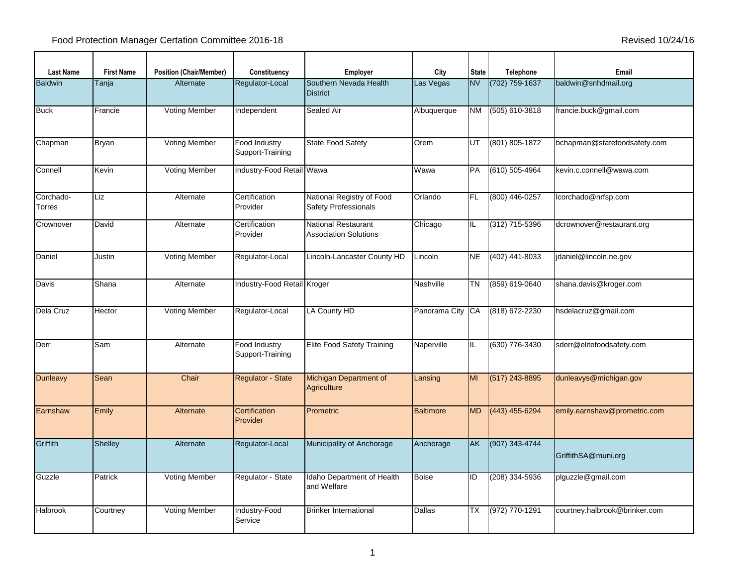| <b>Last Name</b>    | <b>First Name</b> | <b>Position (Chair/Member)</b> | Constituency                      | <b>Employer</b>                                          | City             | <b>State</b> | Telephone          | Email                         |
|---------------------|-------------------|--------------------------------|-----------------------------------|----------------------------------------------------------|------------------|--------------|--------------------|-------------------------------|
| <b>Baldwin</b>      | Tanja             | Alternate                      | Regulator-Local                   | Southern Nevada Health<br><b>District</b>                | Las Vegas        | <b>NV</b>    | (702) 759-1637     | baldwin@snhdmail.org          |
| <b>Buck</b>         | Francie           | Voting Member                  | Independent                       | Sealed Air                                               | Albuquerque      | NM           | (505) 610-3818     | francie.buck@gmail.com        |
| Chapman             | Bryan             | <b>Voting Member</b>           | Food Industry<br>Support-Training | State Food Safety                                        | Orem             | UT           | (801) 805-1872     | bchapman@statefoodsafety.com  |
| Connell             | Kevin             | <b>Voting Member</b>           | Industry-Food Retail Wawa         |                                                          | Wawa             | PA           | $(610) 505 - 4964$ | kevin.c.connell@wawa.com      |
| Corchado-<br>Torres | Liz               | Alternate                      | Certification<br>Provider         | National Registry of Food<br><b>Safety Professionals</b> | Orlando          | FL.          | (800) 446-0257     | lcorchado@nrfsp.com           |
| Crownover           | David             | Alternate                      | Certification<br>Provider         | National Restaurant<br><b>Association Solutions</b>      | Chicago          | $\sf IL$     | (312) 715-5396     | dcrownover@restaurant.org     |
| Daniel              | Justin            | <b>Voting Member</b>           | Regulator-Local                   | Lincoln-Lancaster County HD                              | Lincoln          | <b>NE</b>    | (402) 441-8033     | jdaniel@lincoln.ne.gov        |
| Davis               | Shana             | Alternate                      | Industry-Food Retail Kroger       |                                                          | Nashville        | ΤN           | (859) 619-0640     | shana.davis@kroger.com        |
| Dela Cruz           | Hector            | <b>Voting Member</b>           | Regulator-Local                   | LA County HD                                             | Panorama City    | CA           | (818) 672-2230     | hsdelacruz@gmail.com          |
| Derr                | Sam               | Alternate                      | Food Industry<br>Support-Training | <b>Elite Food Safety Training</b>                        | Naperville       | IL           | (630) 776-3430     | sderr@elitefoodsafety.com     |
| <b>Dunleavy</b>     | Sean              | Chair                          | Regulator - State                 | Michigan Department of<br>Agriculture                    | Lansing          | MI           | (517) 243-8895     | dunleavys@michigan.gov        |
| Earnshaw            | Emily             | Alternate                      | Certification<br>Provider         | Prometric                                                | <b>Baltimore</b> | <b>MD</b>    | (443) 455-6294     | emily.earnshaw@prometric.com  |
| Griffith            | <b>Shelley</b>    | Alternate                      | Regulator-Local                   | Municipality of Anchorage                                | Anchorage        | AK           | (907) 343-4744     | GriffithSA@muni.org           |
| Guzzle              | Patrick           | Voting Member                  | Regulator - State                 | Idaho Department of Health<br>and Welfare                | <b>Boise</b>     | ID           | (208) 334-5936     | plguzzle@gmail.com            |
| <b>Halbrook</b>     | Courtney          | <b>Voting Member</b>           | Industry-Food<br>Service          | <b>Brinker International</b>                             | Dallas           | ТX           | (972) 770-1291     | courtney.halbrook@brinker.com |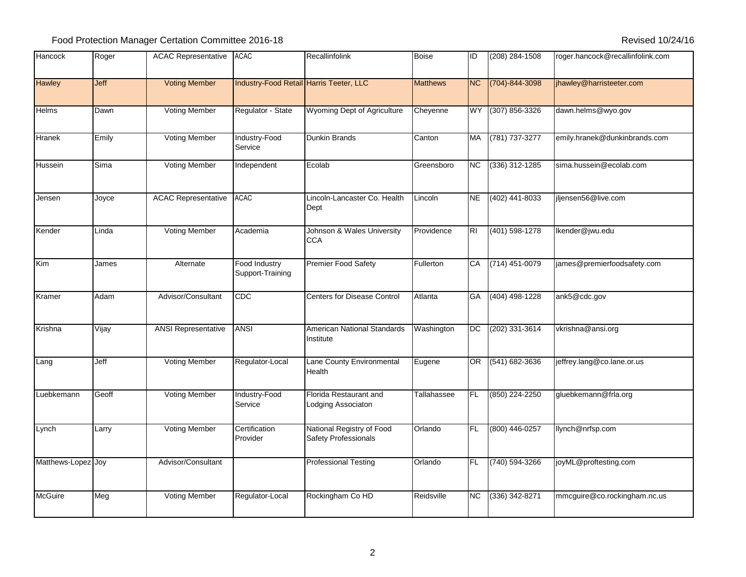| Hancock            | Roger | <b>ACAC Representative</b> | <b>ACAC</b>                             | Recallinfolink                                    | <b>Boise</b>    | ID             | $(208)$ 284-1508     | roger.hancock@recallinfolink.com |
|--------------------|-------|----------------------------|-----------------------------------------|---------------------------------------------------|-----------------|----------------|----------------------|----------------------------------|
| <b>Hawley</b>      | Jeff  | <b>Voting Member</b>       | Industry-Food Retail Harris Teeter, LLC |                                                   | <b>Matthews</b> | <b>NC</b>      | $(704) - 844 - 3098$ | jhawley@harristeeter.com         |
| Helms              | Dawn  | <b>Voting Member</b>       | Regulator - State                       | Wyoming Dept of Agriculture                       | Cheyenne        | <b>WY</b>      | $(307) 856 - 3326$   | dawn.helms@wyo.gov               |
| Hranek             | Emily | <b>Voting Member</b>       | Industry-Food<br>Service                | Dunkin Brands                                     | Canton          | MA             | (781) 737-3277       | emily.hranek@dunkinbrands.com    |
| Hussein            | Sima  | <b>Voting Member</b>       | Independent                             | Ecolab                                            | Greensboro      | <b>NC</b>      | $(336)$ 312-1285     | sima.hussein@ecolab.com          |
| Jensen             | Joyce | <b>ACAC Representative</b> | <b>ACAC</b>                             | Lincoln-Lancaster Co. Health<br>Dept              | Lincoln         | <b>NE</b>      | (402) 441-8033       | jljensen56@live.com              |
| Kender             | Linda | <b>Voting Member</b>       | Academia                                | Johnson & Wales University<br><b>CCA</b>          | Providence      | R <sub>1</sub> | $(401) 598 - 1278$   | Ikender@jwu.edu                  |
| Kim                | James | Alternate                  | Food Industry<br>Support-Training       | <b>Premier Food Safety</b>                        | Fullerton       | CA             | (714) 451-0079       | james@premierfoodsafety.com      |
| Kramer             | Adam  | Advisor/Consultant         | <b>CDC</b>                              | <b>Centers for Disease Control</b>                | Atlanta         | GA             | $(404)$ 498-1228     | ank5@cdc.gov                     |
| Krishna            | Vijay | <b>ANSI Representative</b> | <b>ANSI</b>                             | <b>American National Standards</b><br>Institute   | Washington      | <b>DC</b>      | (202) 331-3614       | vkrishna@ansi.org                |
| Lang               | Jeff  | Voting Member              | Regulator-Local                         | Lane County Environmental<br>Health               | Eugene          | OR             | (541) 682-3636       | jeffrey.lang@co.lane.or.us       |
| Luebkemann         | Geoff | <b>Voting Member</b>       | Industry-Food<br>Service                | Florida Restaurant and<br>Lodging Associaton      | Tallahassee     | FL             | (850) 224-2250       | gluebkemann@frla.org             |
| Lynch              | Larry | <b>Voting Member</b>       | Certification<br>Provider               | National Registry of Food<br>Safety Professionals | Orlando         | FL             | (800) 446-0257       | llynch@nrfsp.com                 |
| Matthews-Lopez Joy |       | Advisor/Consultant         |                                         | <b>Professional Testing</b>                       | Orlando         | <b>FL</b>      | (740) 594-3266       | joyML@proftesting.com            |
| <b>McGuire</b>     | Meg   | <b>Voting Member</b>       | Regulator-Local                         | Rockingham Co HD                                  | Reidsville      | <b>NC</b>      | $(336)$ 342-8271     | mmcguire@co.rockingham.nc.us     |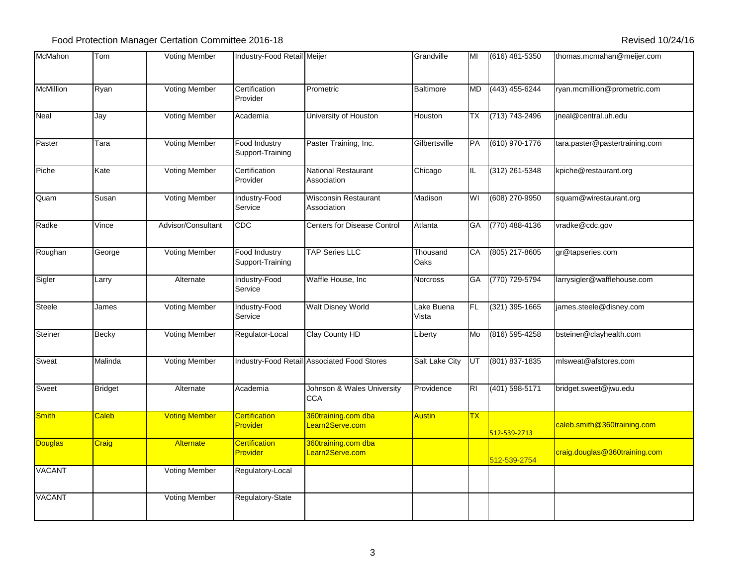| McMahon          | Tom            | <b>Voting Member</b> | Industry-Food Retail Meijer             |                                             | Grandville          | MI        | (616) 481-5350   | thomas.mcmahan@meijer.com      |
|------------------|----------------|----------------------|-----------------------------------------|---------------------------------------------|---------------------|-----------|------------------|--------------------------------|
| <b>McMillion</b> | Ryan           | <b>Voting Member</b> | Certification<br>Provider               | Prometric                                   | <b>Baltimore</b>    | MD        | (443) 455-6244   | ryan.mcmillion@prometric.com   |
| Neal             | Jay            | <b>Voting Member</b> | Academia                                | University of Houston                       | Houston             | <b>TX</b> | (713) 743-2496   | ineal@central.uh.edu           |
| Paster           | Tara           | <b>Voting Member</b> | Food Industry<br>Support-Training       | Paster Training, Inc.                       | Gilbertsville       | PA        | (610) 970-1776   | tara.paster@pastertraining.com |
| Piche            | Kate           | <b>Voting Member</b> | Certification<br>Provider               | National Restaurant<br>Association          | Chicago             | IL.       | $(312)$ 261-5348 | kpiche@restaurant.org          |
| Quam             | Susan          | <b>Voting Member</b> | Industry-Food<br>Service                | <b>Wisconsin Restaurant</b><br>Association  | Madison             | WI        | (608) 270-9950   | squam@wirestaurant.org         |
| Radke            | Vince          | Advisor/Consultant   | <b>CDC</b>                              | <b>Centers for Disease Control</b>          | Atlanta             | GA        | $(770)$ 488-4136 | vradke@cdc.gov                 |
| Roughan          | George         | <b>Voting Member</b> | Food Industry<br>Support-Training       | <b>TAP Series LLC</b>                       | Thousand<br>Oaks    | CA        | (805) 217-8605   | gr@tapseries.com               |
| Sigler           | _arry          | Alternate            | Industry-Food<br>Service                | Waffle House, Inc                           | Norcross            | GA        | (770) 729-5794   | larrysigler@wafflehouse.com    |
| Steele           | James          | <b>Voting Member</b> | Industry-Food<br>Service                | <b>Walt Disney World</b>                    | Lake Buena<br>Vista | FL        | $(321)$ 395-1665 | james.steele@disney.com        |
| Steiner          | Becky          | Voting Member        | Regulator-Local                         | Clay County HD                              | Liberty             | Mo        | $(816)$ 595-4258 | bsteiner@clayhealth.com        |
| Sweat            | Malinda        | <b>Voting Member</b> |                                         | Industry-Food Retail Associated Food Stores | Salt Lake City      | UT        | (801) 837-1835   | mlsweat@afstores.com           |
| Sweet            | <b>Bridget</b> | Alternate            | Academia                                | Johnson & Wales University<br><b>CCA</b>    | Providence          | <b>RI</b> | $(401)$ 598-5171 | bridget.sweet@jwu.edu          |
| <b>Smith</b>     | Caleb          | <b>Voting Member</b> | <b>Certification</b><br><b>Provider</b> | 360training.com dba<br>Learn2Serve.com      | Austin              | <b>TX</b> | 512-539-2713     | caleb.smith@360training.com    |
| <b>Douglas</b>   | <b>Craig</b>   | Alternate            | <b>Certification</b><br><b>Provider</b> | 360training.com dba<br>Learn2Serve.com      |                     |           | 512-539-2754     | craig.douglas@360training.com  |
| <b>VACANT</b>    |                | <b>Voting Member</b> | Regulatory-Local                        |                                             |                     |           |                  |                                |
| <b>VACANT</b>    |                | <b>Voting Member</b> | Regulatory-State                        |                                             |                     |           |                  |                                |